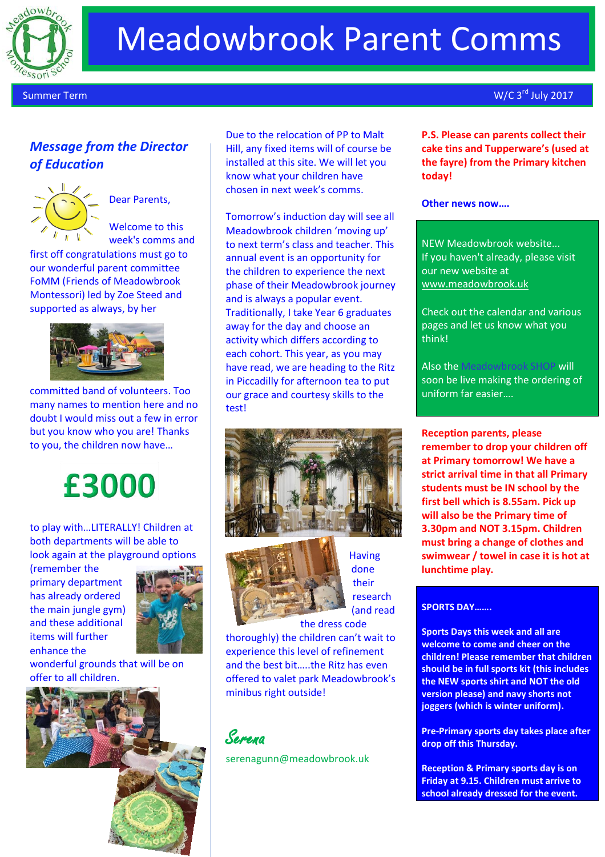

# Meadowbrook Parent Comms

Summer Term

## *Message from the Director of Education*



Dear Parents,

Welcome to this week's comms and

first off congratulations must go to our wonderful parent committee FoMM (Friends of Meadowbrook Montessori) led by Zoe Steed and supported as always, by her



committed band of volunteers. Too many names to mention here and no doubt I would miss out a few in error but you know who you are! Thanks to you, the children now have…

## £3000

to play with…LITERALLY! Children at both departments will be able to look again at the playground options

(remember the primary department has already ordered the main jungle gym) and these additional items will further enhance the



wonderful grounds that will be on offer to all children.



Due to the relocation of PP to Malt Hill, any fixed items will of course be installed at this site. We will let you know what your children have chosen in next week's comms.

Tomorrow's induction day will see all Meadowbrook children 'moving up' to next term's class and teacher. This annual event is an opportunity for the children to experience the next phase of their Meadowbrook journey and is always a popular event. Traditionally, I take Year 6 graduates away for the day and choose an activity which differs according to each cohort. This year, as you may have read, we are heading to the Ritz in Piccadilly for afternoon tea to put our grace and courtesy skills to the test!





**Having** done their research (and read

the dress code thoroughly) the children can't wait to experience this level of refinement and the best bit…..the Ritz has even offered to valet park Meadowbrook's minibus right outside!



[serenagunn@meadowbrook.uk](mailto:serenagunn@meadowbrook.uk)

 $W/C$  3<sup>rd</sup> July 2017

**P.S. Please can parents collect their cake tins and Tupperware's (used at the fayre) from the Primary kitchen today!**

### **Other news now….**

NEW Meadowbrook website... If you haven't already, please visit our new website at [www.meadowbrook.uk](http://www.meadowbrook.uk/)

Check out the calendar and various pages and let us know what you think!

Also the Meadowbrook SHOP will soon be live making the ordering of uniform far easier….

**Reception parents, please remember to drop your children off at Primary tomorrow! We have a strict arrival time in that all Primary students must be IN school by the first bell which is 8.55am. Pick up will also be the Primary time of 3.30pm and NOT 3.15pm. Children must bring a change of clothes and swimwear / towel in case it is hot at lunchtime play.** 

### **SPORTS DAY…….**

**Sports Days this week and all are welcome to come and cheer on the children! Please remember that children should be in full sports kit (this includes the NEW sports shirt and NOT the old version please) and navy shorts not joggers (which is winter uniform).**

**Pre-Primary sports day takes place after drop off this Thursday.**

**Reception & Primary sports day is on Friday at 9.15. Children must arrive to school already dressed for the event.**